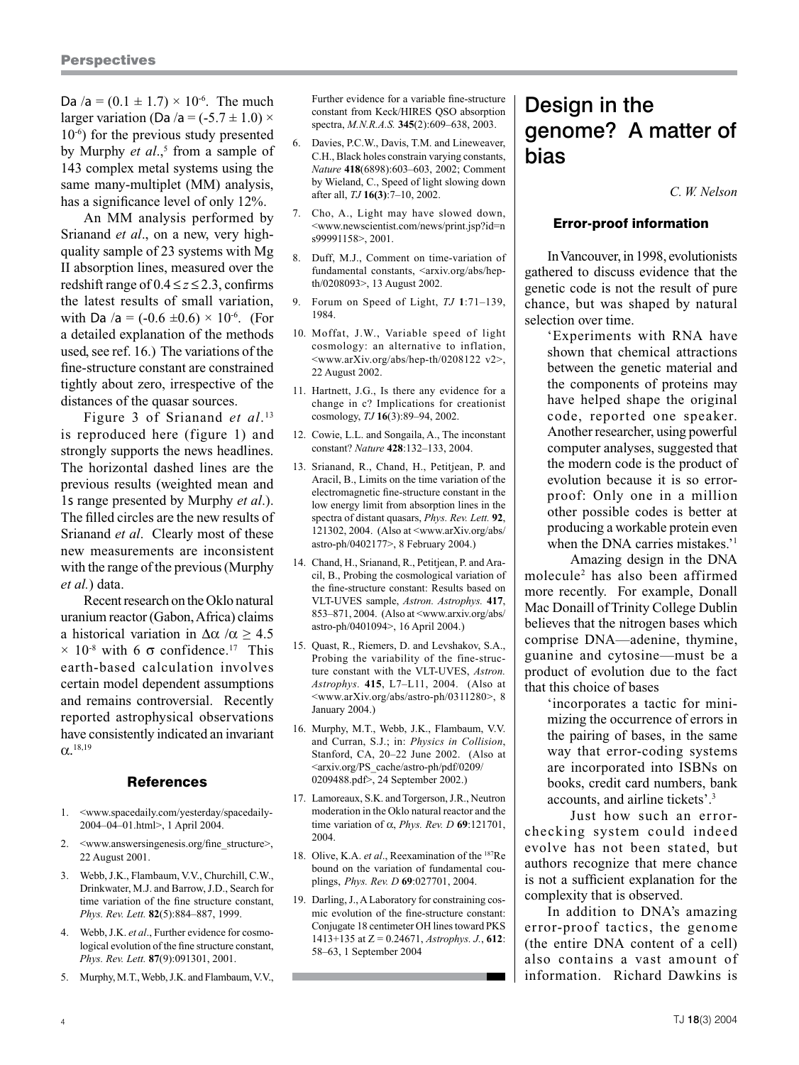Da /a =  $(0.1 \pm 1.7) \times 10^{-6}$ . The much larger variation (Da /a =  $(-5.7 \pm 1.0) \times$ 10-6) for the previous study presented by Murphy *et al.*,<sup>5</sup> from a sample of 143 complex metal systems using the same many-multiplet (MM) analysis, has a significance level of only 12%.

An MM analysis performed by Srianand *et al*., on a new, very highquality sample of 23 systems with Mg II absorption lines, measured over the redshift range of  $0.4 \le z \le 2.3$ , confirms the latest results of small variation, with Da /a =  $(-0.6 \pm 0.6) \times 10^{-6}$ . (For a detailed explanation of the methods used, see ref. 16.) The variations of the fine-structure constant are constrained tightly about zero, irrespective of the distances of the quasar sources.

Figure 3 of Srianand *et al*. 13 is reproduced here (figure 1) and strongly supports the news headlines. The horizontal dashed lines are the previous results (weighted mean and 1s range presented by Murphy *et al*.). The filled circles are the new results of Srianand *et al*. Clearly most of these new measurements are inconsistent with the range of the previous (Murphy *et al.*) data.

Recent research on the Oklo natural uranium reactor (Gabon, Africa) claims a historical variation in  $\Delta \alpha / \alpha \geq 4.5$  $\times$  10<sup>-8</sup> with 6  $\sigma$  confidence.<sup>17</sup> This earth-based calculation involves certain model dependent assumptions and remains controversial. Recently reported astrophysical observations have consistently indicated an invariant  $α<sup>.18,19</sup>$ 

# References

- 1. <www.spacedaily.com/yesterday/spacedaily-2004–04–01.html>, 1 April 2004.
- 2. <www.answersingenesis.org/fine\_structure>, 22 August 2001.
- 3. Webb, J.K., Flambaum, V.V., Churchill, C.W., Drinkwater, M.J. and Barrow, J.D., Search for time variation of the fine structure constant, *Phys. Rev. Lett.* **82**(5):884–887, 1999.
- 4. Webb, J.K. *et al*., Further evidence for cosmological evolution of the fine structure constant, *Phys. Rev. Lett.* **87**(9):091301, 2001.
- 5. Murphy, M.T., Webb, J.K. and Flambaum, V.V.,

Further evidence for a variable fine-structure constant from Keck/HIRES QSO absorption spectra, *M.N.R.A.S.* **345**(2):609–638, 2003.

- 6. Davies, P.C.W., Davis, T.M. and Lineweaver, C.H., Black holes constrain varying constants, *Nature* **418**(6898):603–603, 2002; Comment by Wieland, C., Speed of light slowing down after all, *TJ* **16(3)**:7–10, 2002.
- 7. Cho, A., Light may have slowed down, <www.newscientist.com/news/print.jsp?id=n s99991158>, 2001.
- 8. Duff, M.J., Comment on time-variation of fundamental constants, <arxiv.org/abs/hepth/0208093>, 13 August 2002.
- 9. Forum on Speed of Light, *TJ* **1**:71–139, 1984.
- 10. Moffat, J.W., Variable speed of light cosmology: an alternative to inflation, <www.arXiv.org/abs/hep-th/0208122 v2>, 22 August 2002.
- 11. Hartnett, J.G., Is there any evidence for a change in c? Implications for creationist cosmology, *TJ* **16**(3):89–94, 2002.
- 12. Cowie, L.L. and Songaila, A., The inconstant constant? *Nature* **428**:132–133, 2004.
- 13. Srianand, R., Chand, H., Petitjean, P. and Aracil, B., Limits on the time variation of the electromagnetic fine-structure constant in the low energy limit from absorption lines in the spectra of distant quasars, *Phys. Rev. Lett.* **92**, 121302, 2004. (Also at <www.arXiv.org/abs/ astro-ph/0402177>, 8 February 2004.)
- 14. Chand, H., Srianand, R., Petitjean, P. and Aracil, B., Probing the cosmological variation of the fine-structure constant: Results based on VLT-UVES sample, *Astron. Astrophys.* **417**, 853–871, 2004. (Also at <www.arxiv.org/abs/ astro-ph/0401094>, 16 April 2004.)
- 15. Quast, R., Riemers, D. and Levshakov, S.A., Probing the variability of the fine-structure constant with the VLT-UVES, *Astron. Astrophys.* **415**, L7–L11, 2004. (Also at <www.arXiv.org/abs/astro-ph/0311280>, 8 January 2004.)
- 16. Murphy, M.T., Webb, J.K., Flambaum, V.V. and Curran, S.J.; in: *Physics in Collision*, Stanford, CA, 20–22 June 2002. (Also at <arxiv.org/PS\_cache/astro-ph/pdf/0209/ 0209488.pdf>, 24 September 2002.)
- 17. Lamoreaux, S.K. and Torgerson, J.R., Neutron moderation in the Oklo natural reactor and the time variation of α, *Phys. Rev. D* **69**:121701, 2004.
- 18. Olive, K.A. *et al*., Reexamination of the 187Re bound on the variation of fundamental couplings, *Phys. Rev. D* **69**:027701, 2004.
- 19. Darling, J., A Laboratory for constraining cosmic evolution of the fine-structure constant: Conjugate 18 centimeter OH lines toward PKS 1413+135 at Z = 0.24671, *Astrophys. J.*, **612**: 58–63, 1 September 2004

# Design in the genome? A matter of bias

*C. W. Nelson*

# Error-proof information

In Vancouver, in 1998, evolutionists gathered to discuss evidence that the genetic code is not the result of pure chance, but was shaped by natural selection over time.

'Experiments with RNA have shown that chemical attractions between the genetic material and the components of proteins may have helped shape the original code, reported one speaker. Another researcher, using powerful computer analyses, suggested that the modern code is the product of evolution because it is so errorproof: Only one in a million other possible codes is better at producing a workable protein even when the DNA carries mistakes.'1

Amazing design in the DNA molecule2 has also been affirmed more recently. For example, Donall Mac Donaill of Trinity College Dublin believes that the nitrogen bases which comprise DNA—adenine, thymine, guanine and cytosine—must be a product of evolution due to the fact that this choice of bases

'incorporates a tactic for minimizing the occurrence of errors in the pairing of bases, in the same way that error-coding systems are incorporated into ISBNs on books, credit card numbers, bank accounts, and airline tickets'.3

Just how such an errorchecking system could indeed evolve has not been stated, but authors recognize that mere chance is not a sufficient explanation for the complexity that is observed.

In addition to DNA's amazing error-proof tactics, the genome (the entire DNA content of a cell) also contains a vast amount of information. Richard Dawkins is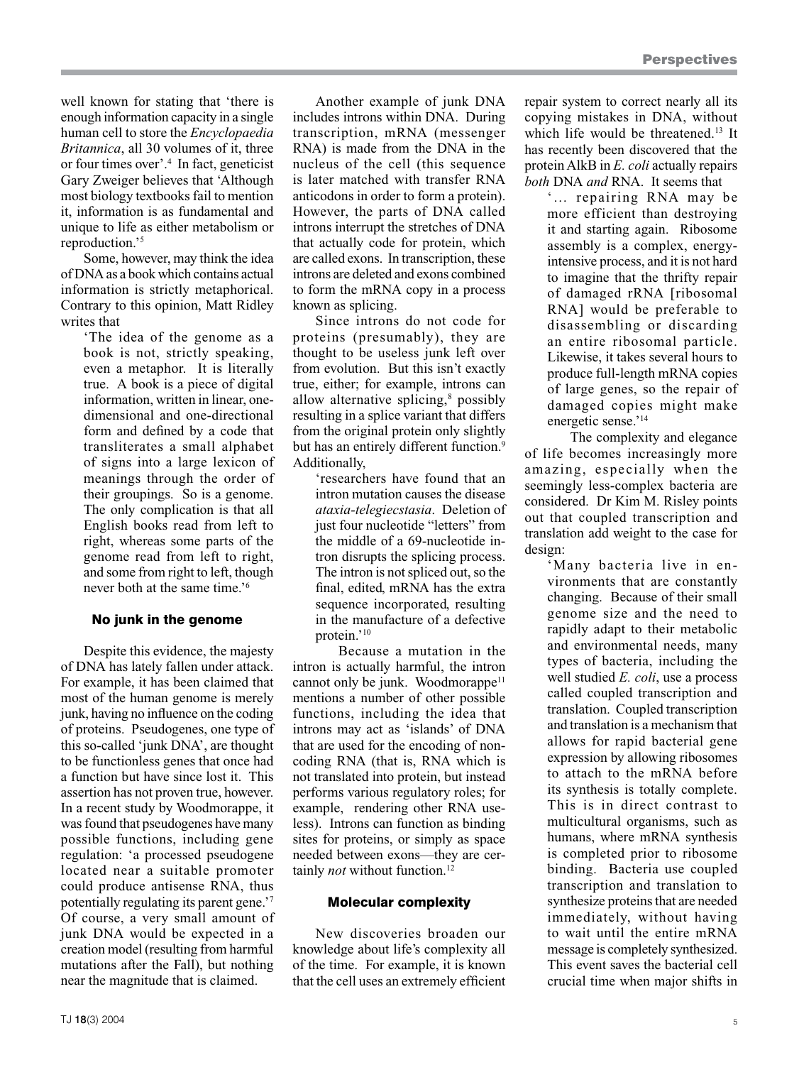well known for stating that 'there is enough information capacity in a single human cell to store the *Encyclopaedia Britannica*, all 30 volumes of it, three or four times over'.4 In fact, geneticist Gary Zweiger believes that 'Although most biology textbooks fail to mention it, information is as fundamental and unique to life as either metabolism or reproduction.'5

Some, however, may think the idea of DNA as a book which contains actual information is strictly metaphorical. Contrary to this opinion, Matt Ridley writes that

> 'The idea of the genome as a book is not, strictly speaking, even a metaphor. It is literally true. A book is a piece of digital information, written in linear, onedimensional and one-directional form and defined by a code that transliterates a small alphabet of signs into a large lexicon of meanings through the order of their groupings. So is a genome. The only complication is that all English books read from left to right, whereas some parts of the genome read from left to right, and some from right to left, though never both at the same time.'6

# No junk in the genome

Despite this evidence, the majesty of DNA has lately fallen under attack. For example, it has been claimed that most of the human genome is merely junk, having no influence on the coding of proteins. Pseudogenes, one type of this so-called 'junk DNA', are thought to be functionless genes that once had a function but have since lost it. This assertion has not proven true, however. In a recent study by Woodmorappe, it was found that pseudogenes have many possible functions, including gene regulation: 'a processed pseudogene located near a suitable promoter could produce antisense RNA, thus potentially regulating its parent gene.<sup>7</sup> Of course, a very small amount of junk DNA would be expected in a creation model (resulting from harmful mutations after the Fall), but nothing near the magnitude that is claimed.

Another example of junk DNA includes introns within DNA. During transcription, mRNA (messenger RNA) is made from the DNA in the nucleus of the cell (this sequence is later matched with transfer RNA anticodons in order to form a protein). However, the parts of DNA called introns interrupt the stretches of DNA that actually code for protein, which are called exons. In transcription, these introns are deleted and exons combined to form the mRNA copy in a process known as splicing.

Since introns do not code for proteins (presumably), they are thought to be useless junk left over from evolution. But this isn't exactly true, either; for example, introns can allow alternative splicing,<sup>8</sup> possibly resulting in a splice variant that differs from the original protein only slightly but has an entirely different function.<sup>9</sup> Additionally,

'researchers have found that an intron mutation causes the disease *ataxia-telegiecstasia*. Deletion of just four nucleotide "letters" from the middle of a 69-nucleotide intron disrupts the splicing process. The intron is not spliced out, so the final, edited, mRNA has the extra sequence incorporated, resulting in the manufacture of a defective protein.'10

Because a mutation in the intron is actually harmful, the intron cannot only be junk. Woodmorappe<sup>11</sup> mentions a number of other possible functions, including the idea that introns may act as 'islands' of DNA that are used for the encoding of noncoding RNA (that is, RNA which is not translated into protein, but instead performs various regulatory roles; for example, rendering other RNA useless). Introns can function as binding sites for proteins, or simply as space needed between exons—they are certainly *not* without function.<sup>12</sup>

## Molecular complexity

New discoveries broaden our knowledge about life's complexity all of the time. For example, it is known that the cell uses an extremely efficient

repair system to correct nearly all its copying mistakes in DNA, without which life would be threatened.<sup>13</sup> It has recently been discovered that the protein AlkB in *E. coli* actually repairs *both* DNA *and* RNA. It seems that

'… repairing RNA may be more efficient than destroying it and starting again. Ribosome assembly is a complex, energyintensive process, and it is not hard to imagine that the thrifty repair of damaged rRNA [ribosomal RNA] would be preferable to disassembling or discarding an entire ribosomal particle. Likewise, it takes several hours to produce full-length mRNA copies of large genes, so the repair of damaged copies might make energetic sense.'14

The complexity and elegance of life becomes increasingly more amazing, especially when the seemingly less-complex bacteria are considered. Dr Kim M. Risley points out that coupled transcription and translation add weight to the case for design:

> 'Many bacteria live in environments that are constantly changing. Because of their small genome size and the need to rapidly adapt to their metabolic and environmental needs, many types of bacteria, including the well studied *E. coli*, use a process called coupled transcription and translation. Coupled transcription and translation is a mechanism that allows for rapid bacterial gene expression by allowing ribosomes to attach to the mRNA before its synthesis is totally complete. This is in direct contrast to multicultural organisms, such as humans, where mRNA synthesis is completed prior to ribosome binding. Bacteria use coupled transcription and translation to synthesize proteins that are needed immediately, without having to wait until the entire mRNA message is completely synthesized. This event saves the bacterial cell crucial time when major shifts in